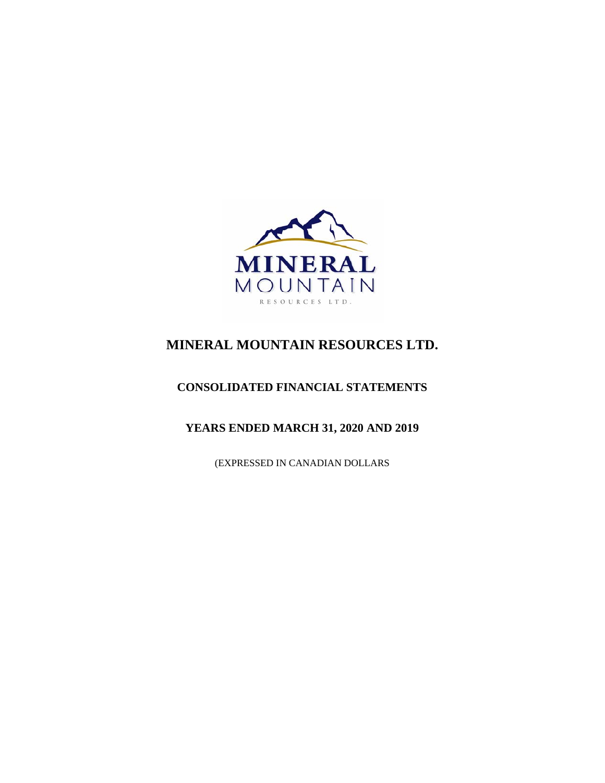

# **MINERAL MOUNTAIN RESOURCES LTD.**

## **CONSOLIDATED FINANCIAL STATEMENTS**

## **YEARS ENDED MARCH 31, 2020 AND 2019**

(EXPRESSED IN CANADIAN DOLLARS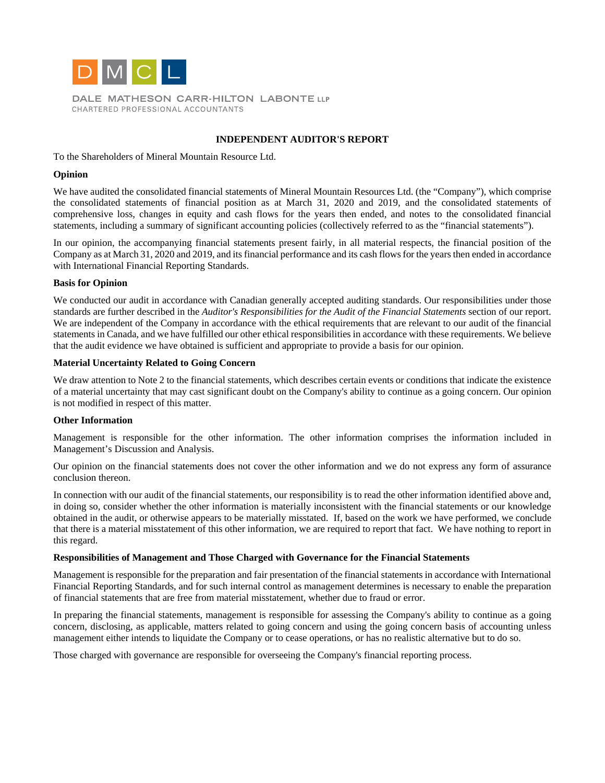

DALE MATHESON CARR-HILTON LABONTE LLP CHARTERED PROFESSIONAL ACCOUNTANTS

## **INDEPENDENT AUDITOR'S REPORT**

## To the Shareholders of Mineral Mountain Resource Ltd.

## **Opinion**

We have audited the consolidated financial statements of Mineral Mountain Resources Ltd. (the "Company"), which comprise the consolidated statements of financial position as at March 31, 2020 and 2019, and the consolidated statements of comprehensive loss, changes in equity and cash flows for the years then ended, and notes to the consolidated financial statements, including a summary of significant accounting policies (collectively referred to as the "financial statements").

In our opinion, the accompanying financial statements present fairly, in all material respects, the financial position of the Company as at March 31, 2020 and 2019, and its financial performance and its cash flows for the years then ended in accordance with International Financial Reporting Standards.

## **Basis for Opinion**

We conducted our audit in accordance with Canadian generally accepted auditing standards. Our responsibilities under those standards are further described in the *Auditor's Responsibilities for the Audit of the Financial Statements* section of our report. We are independent of the Company in accordance with the ethical requirements that are relevant to our audit of the financial statements in Canada, and we have fulfilled our other ethical responsibilities in accordance with these requirements. We believe that the audit evidence we have obtained is sufficient and appropriate to provide a basis for our opinion.

## **Material Uncertainty Related to Going Concern**

We draw attention to Note 2 to the financial statements, which describes certain events or conditions that indicate the existence of a material uncertainty that may cast significant doubt on the Company's ability to continue as a going concern. Our opinion is not modified in respect of this matter.

## **Other Information**

Management is responsible for the other information. The other information comprises the information included in Management's Discussion and Analysis.

Our opinion on the financial statements does not cover the other information and we do not express any form of assurance conclusion thereon.

In connection with our audit of the financial statements, our responsibility is to read the other information identified above and, in doing so, consider whether the other information is materially inconsistent with the financial statements or our knowledge obtained in the audit, or otherwise appears to be materially misstated. If, based on the work we have performed, we conclude that there is a material misstatement of this other information, we are required to report that fact. We have nothing to report in this regard.

## **Responsibilities of Management and Those Charged with Governance for the Financial Statements**

Management is responsible for the preparation and fair presentation of the financial statements in accordance with International Financial Reporting Standards, and for such internal control as management determines is necessary to enable the preparation of financial statements that are free from material misstatement, whether due to fraud or error.

In preparing the financial statements, management is responsible for assessing the Company's ability to continue as a going concern, disclosing, as applicable, matters related to going concern and using the going concern basis of accounting unless management either intends to liquidate the Company or to cease operations, or has no realistic alternative but to do so.

Those charged with governance are responsible for overseeing the Company's financial reporting process.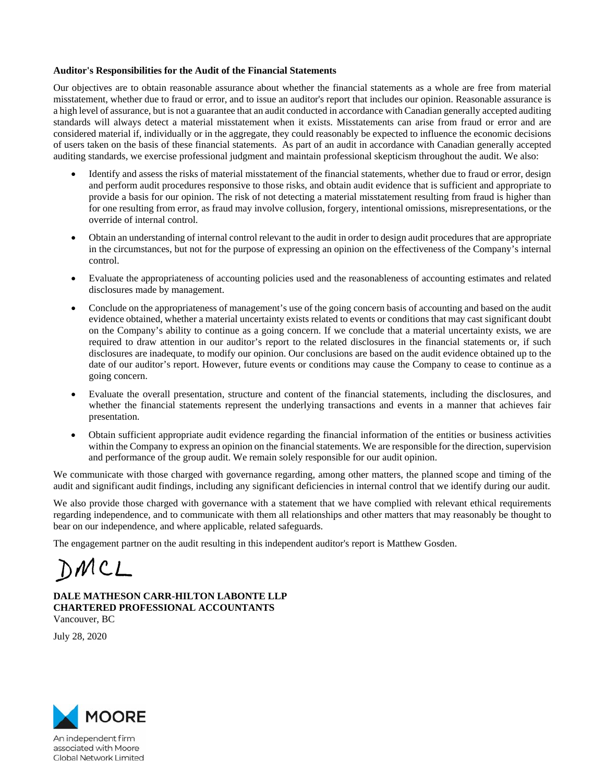## **Auditor's Responsibilities for the Audit of the Financial Statements**

Our objectives are to obtain reasonable assurance about whether the financial statements as a whole are free from material misstatement, whether due to fraud or error, and to issue an auditor's report that includes our opinion. Reasonable assurance is a high level of assurance, but is not a guarantee that an audit conducted in accordance with Canadian generally accepted auditing standards will always detect a material misstatement when it exists. Misstatements can arise from fraud or error and are considered material if, individually or in the aggregate, they could reasonably be expected to influence the economic decisions of users taken on the basis of these financial statements. As part of an audit in accordance with Canadian generally accepted auditing standards, we exercise professional judgment and maintain professional skepticism throughout the audit. We also:

- Identify and assess the risks of material misstatement of the financial statements, whether due to fraud or error, design and perform audit procedures responsive to those risks, and obtain audit evidence that is sufficient and appropriate to provide a basis for our opinion. The risk of not detecting a material misstatement resulting from fraud is higher than for one resulting from error, as fraud may involve collusion, forgery, intentional omissions, misrepresentations, or the override of internal control.
- Obtain an understanding of internal control relevant to the audit in order to design audit procedures that are appropriate in the circumstances, but not for the purpose of expressing an opinion on the effectiveness of the Company's internal control.
- Evaluate the appropriateness of accounting policies used and the reasonableness of accounting estimates and related disclosures made by management.
- Conclude on the appropriateness of management's use of the going concern basis of accounting and based on the audit evidence obtained, whether a material uncertainty exists related to events or conditions that may cast significant doubt on the Company's ability to continue as a going concern. If we conclude that a material uncertainty exists, we are required to draw attention in our auditor's report to the related disclosures in the financial statements or, if such disclosures are inadequate, to modify our opinion. Our conclusions are based on the audit evidence obtained up to the date of our auditor's report. However, future events or conditions may cause the Company to cease to continue as a going concern.
- Evaluate the overall presentation, structure and content of the financial statements, including the disclosures, and whether the financial statements represent the underlying transactions and events in a manner that achieves fair presentation.
- Obtain sufficient appropriate audit evidence regarding the financial information of the entities or business activities within the Company to express an opinion on the financial statements. We are responsible for the direction, supervision and performance of the group audit. We remain solely responsible for our audit opinion.

We communicate with those charged with governance regarding, among other matters, the planned scope and timing of the audit and significant audit findings, including any significant deficiencies in internal control that we identify during our audit.

We also provide those charged with governance with a statement that we have complied with relevant ethical requirements regarding independence, and to communicate with them all relationships and other matters that may reasonably be thought to bear on our independence, and where applicable, related safeguards.

The engagement partner on the audit resulting in this independent auditor's report is Matthew Gosden.

DMCL

**DALE MATHESON CARR-HILTON LABONTE LLP CHARTERED PROFESSIONAL ACCOUNTANTS**  Vancouver, BC

July 28, 2020



An independent firm associated with Moore **Global Network Limited**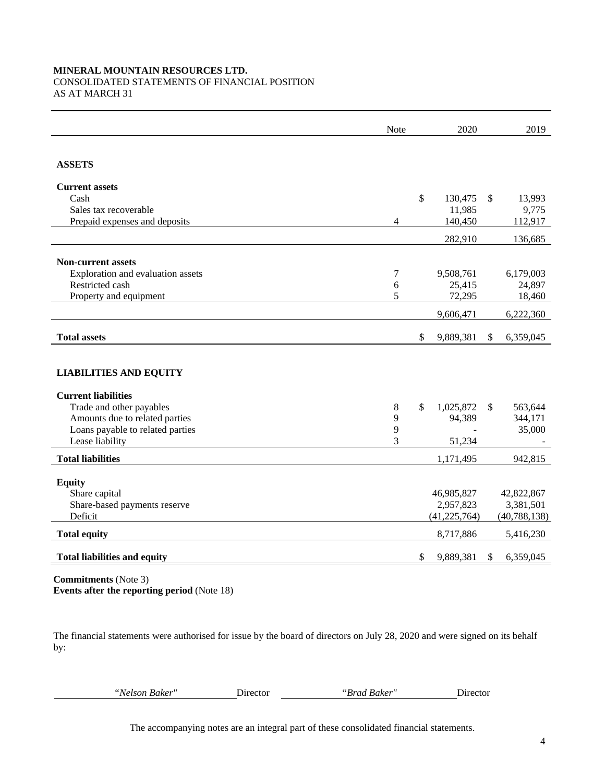## **MINERAL MOUNTAIN RESOURCES LTD.**

## CONSOLIDATED STATEMENTS OF FINANCIAL POSITION

AS AT MARCH 31

|                                     | Note          |     | 2020           |              | 2019           |
|-------------------------------------|---------------|-----|----------------|--------------|----------------|
|                                     |               |     |                |              |                |
| <b>ASSETS</b>                       |               |     |                |              |                |
| <b>Current assets</b>               |               |     |                |              |                |
| Cash                                |               | \$  | 130,475        | $\mathbb{S}$ | 13,993         |
| Sales tax recoverable               |               |     | 11,985         |              | 9,775          |
| Prepaid expenses and deposits       | 4             |     | 140,450        |              | 112,917        |
|                                     |               |     | 282,910        |              | 136,685        |
| <b>Non-current assets</b>           |               |     |                |              |                |
| Exploration and evaluation assets   | $\tau$        |     | 9,508,761      |              | 6,179,003      |
| Restricted cash                     | 6             |     | 25,415         |              | 24,897         |
| Property and equipment              | 5             |     | 72,295         |              | 18,460         |
|                                     |               |     | 9,606,471      |              | 6,222,360      |
| <b>Total assets</b>                 |               | \$. | 9,889,381      | \$           | 6,359,045      |
|                                     |               |     |                |              |                |
| <b>LIABILITIES AND EQUITY</b>       |               |     |                |              |                |
| <b>Current liabilities</b>          |               |     |                |              |                |
| Trade and other payables            | $8\,$         | \$  | 1,025,872      | $\mathbb{S}$ | 563,644        |
| Amounts due to related parties      | 9             |     | 94,389         |              | 344,171        |
| Loans payable to related parties    | 9             |     |                |              | 35,000         |
| Lease liability                     | $\mathcal{E}$ |     | 51,234         |              |                |
| <b>Total liabilities</b>            |               |     | 1,171,495      |              | 942,815        |
| <b>Equity</b>                       |               |     |                |              |                |
| Share capital                       |               |     | 46,985,827     |              | 42,822,867     |
| Share-based payments reserve        |               |     | 2,957,823      |              | 3,381,501      |
| Deficit                             |               |     | (41, 225, 764) |              | (40, 788, 138) |
| <b>Total equity</b>                 |               |     | 8,717,886      |              | 5,416,230      |
| <b>Total liabilities and equity</b> |               | \$  | 9,889,381      | S            | 6,359,045      |
|                                     |               |     |                |              |                |

**Commitments** (Note 3) **Events after the reporting period** (Note 18)

The financial statements were authorised for issue by the board of directors on July 28, 2020 and were signed on its behalf by:

*"Nelson Baker"* Director *"Brad Baker"* Director

The accompanying notes are an integral part of these consolidated financial statements.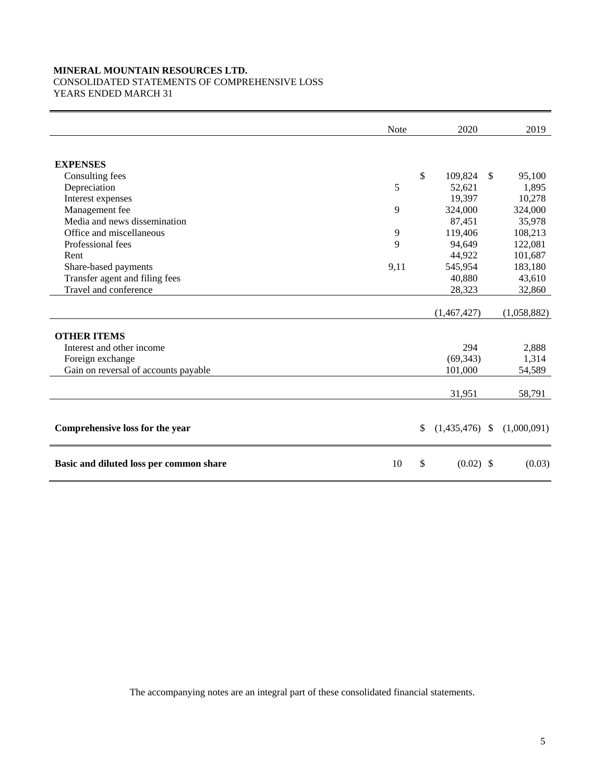## **MINERAL MOUNTAIN RESOURCES LTD.**  CONSOLIDATED STATEMENTS OF COMPREHENSIVE LOSS

YEARS ENDED MARCH 31

|                                         | Note | 2020                   |              | 2019        |
|-----------------------------------------|------|------------------------|--------------|-------------|
|                                         |      |                        |              |             |
| <b>EXPENSES</b>                         |      |                        |              |             |
| Consulting fees                         |      | \$<br>109,824          | $\mathbb{S}$ | 95,100      |
| Depreciation                            | 5    | 52,621                 |              | 1,895       |
| Interest expenses                       |      | 19,397                 |              | 10,278      |
| Management fee                          | 9    | 324,000                |              | 324,000     |
| Media and news dissemination            |      | 87,451                 |              | 35,978      |
| Office and miscellaneous                | 9    | 119,406                |              | 108,213     |
| Professional fees                       | 9    | 94,649                 |              | 122,081     |
| Rent                                    |      | 44,922                 |              | 101,687     |
| Share-based payments                    | 9,11 | 545,954                |              | 183,180     |
| Transfer agent and filing fees          |      | 40,880                 |              | 43,610      |
| Travel and conference                   |      | 28,323                 |              | 32,860      |
|                                         |      |                        |              |             |
|                                         |      | (1,467,427)            |              | (1,058,882) |
| <b>OTHER ITEMS</b>                      |      |                        |              |             |
| Interest and other income               |      | 294                    |              | 2,888       |
| Foreign exchange                        |      | (69, 343)              |              | 1,314       |
| Gain on reversal of accounts payable    |      | 101,000                |              | 54,589      |
|                                         |      |                        |              |             |
|                                         |      | 31,951                 |              | 58,791      |
|                                         |      |                        |              |             |
| Comprehensive loss for the year         |      | \$<br>$(1,435,476)$ \$ |              | (1,000,091) |
| Basic and diluted loss per common share | 10   | \$<br>$(0.02)$ \$      |              | (0.03)      |

The accompanying notes are an integral part of these consolidated financial statements.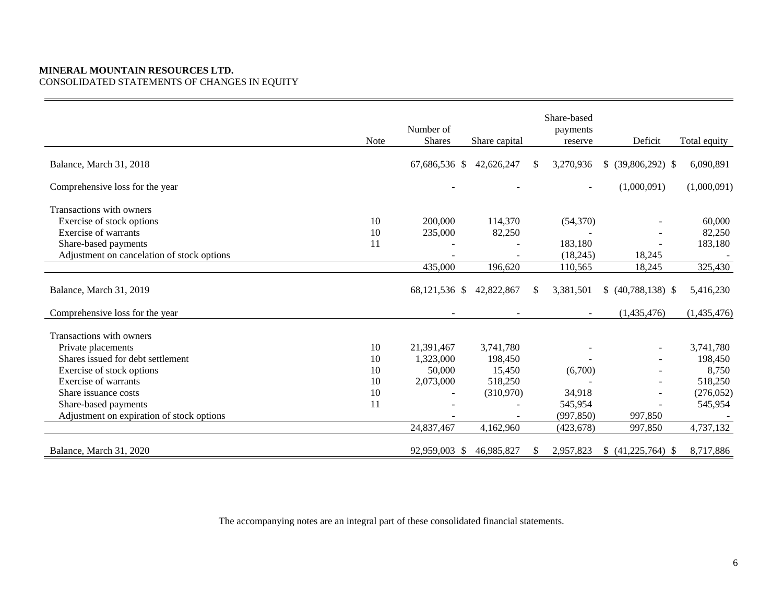## **MINERAL MOUNTAIN RESOURCES LTD.**  CONSOLIDATED STATEMENTS OF CHANGES IN EQUITY

|                                            | <b>Note</b> | Number of<br><b>Shares</b> | Share capital |    | Share-based<br>payments<br>reserve | Deficit              | Total equity |
|--------------------------------------------|-------------|----------------------------|---------------|----|------------------------------------|----------------------|--------------|
| Balance, March 31, 2018                    |             | 67,686,536 \$              | 42,626,247    | \$ | 3,270,936                          | $$$ (39,806,292) \,  | 6,090,891    |
| Comprehensive loss for the year            |             |                            |               |    |                                    | (1,000,091)          | (1,000,091)  |
| Transactions with owners                   |             |                            |               |    |                                    |                      |              |
| Exercise of stock options                  | 10          | 200,000                    | 114,370       |    | (54,370)                           |                      | 60,000       |
| Exercise of warrants                       | 10          | 235,000                    | 82,250        |    |                                    |                      | 82,250       |
| Share-based payments                       | 11          |                            |               |    | 183,180                            |                      | 183,180      |
| Adjustment on cancelation of stock options |             |                            |               |    | (18,245)                           | 18,245               |              |
|                                            |             | 435,000                    | 196,620       |    | 110,565                            | 18,245               | 325,430      |
| Balance, March 31, 2019                    |             | 68,121,536 \$              | 42,822,867    | S. | 3,381,501                          | $$ (40,788,138)$ \\$ | 5,416,230    |
| Comprehensive loss for the year            |             |                            |               |    |                                    | (1,435,476)          | (1,435,476)  |
| Transactions with owners                   |             |                            |               |    |                                    |                      |              |
| Private placements                         | 10          | 21,391,467                 | 3,741,780     |    |                                    |                      | 3,741,780    |
| Shares issued for debt settlement          | 10          | 1,323,000                  | 198,450       |    |                                    |                      | 198,450      |
| Exercise of stock options                  | 10          | 50,000                     | 15,450        |    | (6,700)                            |                      | 8,750        |
| Exercise of warrants                       | 10          | 2,073,000                  | 518,250       |    |                                    |                      | 518,250      |
| Share issuance costs                       | 10          |                            | (310,970)     |    | 34,918                             |                      | (276, 052)   |
| Share-based payments                       | 11          |                            |               |    | 545,954                            |                      | 545,954      |
| Adjustment on expiration of stock options  |             |                            |               |    | (997, 850)                         | 997,850              |              |
|                                            |             | 24,837,467                 | 4,162,960     |    | (423, 678)                         | 997,850              | 4,737,132    |
| Balance, March 31, 2020                    |             | 92,959,003 \$              | 46,985,827    | \$ | 2,957,823                          | $$ (41,225,764)$ \\$ | 8,717,886    |

The accompanying notes are an integral part of these consolidated financial statements.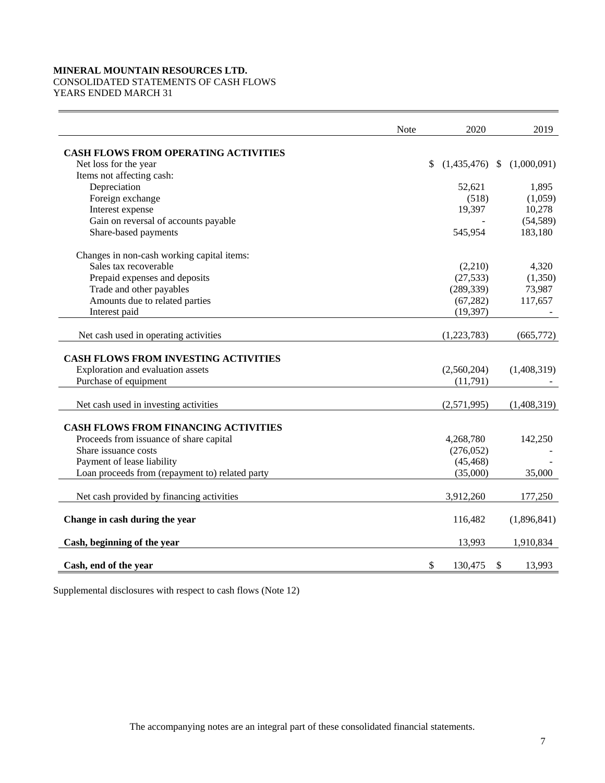## **MINERAL MOUNTAIN RESOURCES LTD.**

## CONSOLIDATED STATEMENTS OF CASH FLOWS

YEARS ENDED MARCH 31

|                                                 | <b>Note</b> | 2020                   |              | 2019        |
|-------------------------------------------------|-------------|------------------------|--------------|-------------|
| <b>CASH FLOWS FROM OPERATING ACTIVITIES</b>     |             |                        |              |             |
| Net loss for the year                           |             | $(1,435,476)$ \$<br>\$ |              | (1,000,091) |
| Items not affecting cash:                       |             |                        |              |             |
| Depreciation                                    |             | 52,621                 |              | 1,895       |
| Foreign exchange                                |             | (518)                  |              | (1,059)     |
| Interest expense                                |             | 19,397                 |              | 10,278      |
| Gain on reversal of accounts payable            |             |                        |              | (54, 589)   |
| Share-based payments                            |             | 545,954                |              | 183,180     |
| Changes in non-cash working capital items:      |             |                        |              |             |
| Sales tax recoverable                           |             | (2,210)                |              | 4,320       |
| Prepaid expenses and deposits                   |             | (27, 533)              |              | (1,350)     |
| Trade and other payables                        |             | (289, 339)             |              | 73,987      |
| Amounts due to related parties                  |             | (67, 282)              |              | 117,657     |
| Interest paid                                   |             | (19, 397)              |              |             |
|                                                 |             |                        |              |             |
| Net cash used in operating activities           |             | (1,223,783)            |              | (665,772)   |
| <b>CASH FLOWS FROM INVESTING ACTIVITIES</b>     |             |                        |              |             |
| Exploration and evaluation assets               |             | (2,560,204)            |              | (1,408,319) |
| Purchase of equipment                           |             | (11,791)               |              |             |
|                                                 |             |                        |              |             |
| Net cash used in investing activities           |             | (2,571,995)            |              | (1,408,319) |
| CASH FLOWS FROM FINANCING ACTIVITIES            |             |                        |              |             |
| Proceeds from issuance of share capital         |             | 4,268,780              |              | 142,250     |
| Share issuance costs                            |             | (276,052)              |              |             |
| Payment of lease liability                      |             | (45, 468)              |              |             |
| Loan proceeds from (repayment to) related party |             | (35,000)               |              | 35,000      |
|                                                 |             |                        |              |             |
| Net cash provided by financing activities       |             | 3,912,260              |              | 177,250     |
| Change in cash during the year                  |             | 116,482                |              | (1,896,841) |
| Cash, beginning of the year                     |             | 13,993                 |              | 1,910,834   |
| Cash, end of the year                           |             | \$<br>130,475          | $\mathbb{S}$ | 13,993      |

Supplemental disclosures with respect to cash flows (Note 12)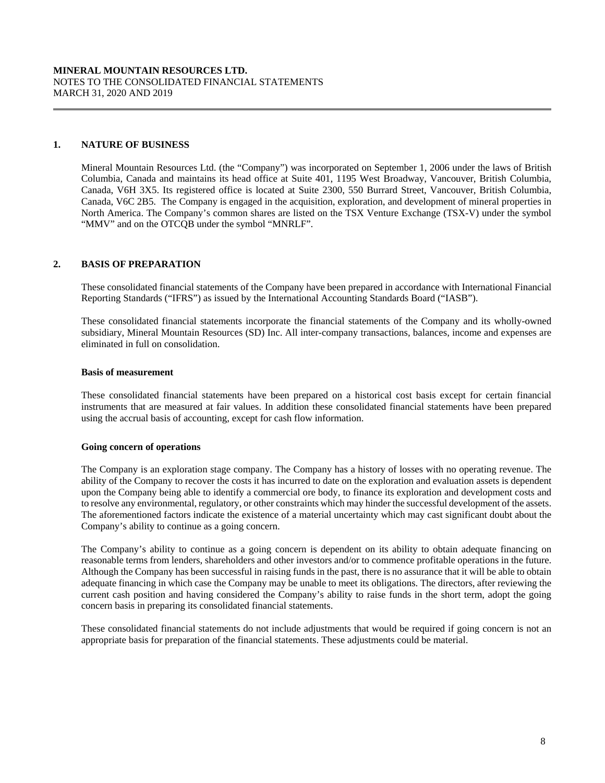## **1. NATURE OF BUSINESS**

 Mineral Mountain Resources Ltd. (the "Company") was incorporated on September 1, 2006 under the laws of British Columbia, Canada and maintains its head office at Suite 401, 1195 West Broadway, Vancouver, British Columbia, Canada, V6H 3X5. Its registered office is located at Suite 2300, 550 Burrard Street, Vancouver, British Columbia, Canada, V6C 2B5. The Company is engaged in the acquisition, exploration, and development of mineral properties in North America. The Company's common shares are listed on the TSX Venture Exchange (TSX-V) under the symbol "MMV" and on the OTCQB under the symbol "MNRLF".

## **2. BASIS OF PREPARATION**

These consolidated financial statements of the Company have been prepared in accordance with International Financial Reporting Standards ("IFRS") as issued by the International Accounting Standards Board ("IASB").

These consolidated financial statements incorporate the financial statements of the Company and its wholly-owned subsidiary, Mineral Mountain Resources (SD) Inc. All inter-company transactions, balances, income and expenses are eliminated in full on consolidation.

## **Basis of measurement**

These consolidated financial statements have been prepared on a historical cost basis except for certain financial instruments that are measured at fair values. In addition these consolidated financial statements have been prepared using the accrual basis of accounting, except for cash flow information.

## **Going concern of operations**

The Company is an exploration stage company. The Company has a history of losses with no operating revenue. The ability of the Company to recover the costs it has incurred to date on the exploration and evaluation assets is dependent upon the Company being able to identify a commercial ore body, to finance its exploration and development costs and to resolve any environmental, regulatory, or other constraints which may hinder the successful development of the assets. The aforementioned factors indicate the existence of a material uncertainty which may cast significant doubt about the Company's ability to continue as a going concern.

The Company's ability to continue as a going concern is dependent on its ability to obtain adequate financing on reasonable terms from lenders, shareholders and other investors and/or to commence profitable operations in the future. Although the Company has been successful in raising funds in the past, there is no assurance that it will be able to obtain adequate financing in which case the Company may be unable to meet its obligations. The directors, after reviewing the current cash position and having considered the Company's ability to raise funds in the short term, adopt the going concern basis in preparing its consolidated financial statements.

These consolidated financial statements do not include adjustments that would be required if going concern is not an appropriate basis for preparation of the financial statements. These adjustments could be material.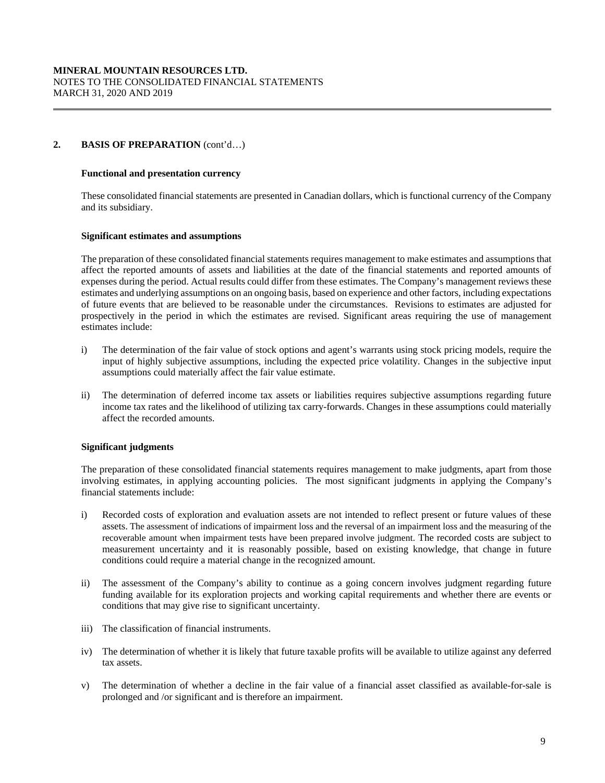## **2. BASIS OF PREPARATION** (cont'd…)

## **Functional and presentation currency**

These consolidated financial statements are presented in Canadian dollars, which is functional currency of the Company and its subsidiary.

#### **Significant estimates and assumptions**

The preparation of these consolidated financial statements requires management to make estimates and assumptions that affect the reported amounts of assets and liabilities at the date of the financial statements and reported amounts of expenses during the period. Actual results could differ from these estimates. The Company's management reviews these estimates and underlying assumptions on an ongoing basis, based on experience and other factors, including expectations of future events that are believed to be reasonable under the circumstances. Revisions to estimates are adjusted for prospectively in the period in which the estimates are revised. Significant areas requiring the use of management estimates include:

- i) The determination of the fair value of stock options and agent's warrants using stock pricing models, require the input of highly subjective assumptions, including the expected price volatility. Changes in the subjective input assumptions could materially affect the fair value estimate.
- ii) The determination of deferred income tax assets or liabilities requires subjective assumptions regarding future income tax rates and the likelihood of utilizing tax carry-forwards. Changes in these assumptions could materially affect the recorded amounts.

## **Significant judgments**

The preparation of these consolidated financial statements requires management to make judgments, apart from those involving estimates, in applying accounting policies. The most significant judgments in applying the Company's financial statements include:

- i) Recorded costs of exploration and evaluation assets are not intended to reflect present or future values of these assets. The assessment of indications of impairment loss and the reversal of an impairment loss and the measuring of the recoverable amount when impairment tests have been prepared involve judgment. The recorded costs are subject to measurement uncertainty and it is reasonably possible, based on existing knowledge, that change in future conditions could require a material change in the recognized amount.
- ii) The assessment of the Company's ability to continue as a going concern involves judgment regarding future funding available for its exploration projects and working capital requirements and whether there are events or conditions that may give rise to significant uncertainty.
- iii) The classification of financial instruments.
- iv) The determination of whether it is likely that future taxable profits will be available to utilize against any deferred tax assets.
- v) The determination of whether a decline in the fair value of a financial asset classified as available-for-sale is prolonged and /or significant and is therefore an impairment.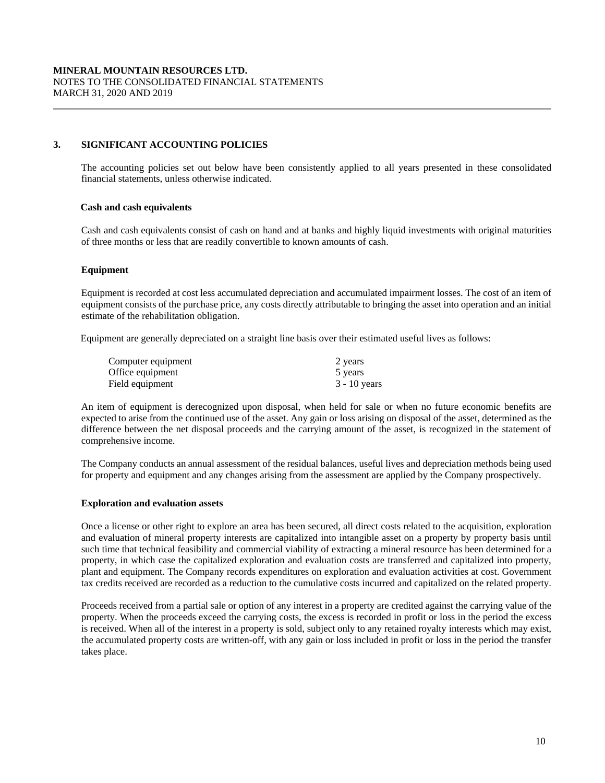## **3. SIGNIFICANT ACCOUNTING POLICIES**

The accounting policies set out below have been consistently applied to all years presented in these consolidated financial statements, unless otherwise indicated.

## **Cash and cash equivalents**

 Cash and cash equivalents consist of cash on hand and at banks and highly liquid investments with original maturities of three months or less that are readily convertible to known amounts of cash.

## **Equipment**

Equipment is recorded at cost less accumulated depreciation and accumulated impairment losses. The cost of an item of equipment consists of the purchase price, any costs directly attributable to bringing the asset into operation and an initial estimate of the rehabilitation obligation.

Equipment are generally depreciated on a straight line basis over their estimated useful lives as follows:

| Computer equipment | 2 years        |
|--------------------|----------------|
| Office equipment   | 5 years        |
| Field equipment    | $3 - 10$ years |

An item of equipment is derecognized upon disposal, when held for sale or when no future economic benefits are expected to arise from the continued use of the asset. Any gain or loss arising on disposal of the asset, determined as the difference between the net disposal proceeds and the carrying amount of the asset, is recognized in the statement of comprehensive income.

The Company conducts an annual assessment of the residual balances, useful lives and depreciation methods being used for property and equipment and any changes arising from the assessment are applied by the Company prospectively.

## **Exploration and evaluation assets**

Once a license or other right to explore an area has been secured, all direct costs related to the acquisition, exploration and evaluation of mineral property interests are capitalized into intangible asset on a property by property basis until such time that technical feasibility and commercial viability of extracting a mineral resource has been determined for a property, in which case the capitalized exploration and evaluation costs are transferred and capitalized into property, plant and equipment. The Company records expenditures on exploration and evaluation activities at cost. Government tax credits received are recorded as a reduction to the cumulative costs incurred and capitalized on the related property.

Proceeds received from a partial sale or option of any interest in a property are credited against the carrying value of the property. When the proceeds exceed the carrying costs, the excess is recorded in profit or loss in the period the excess is received. When all of the interest in a property is sold, subject only to any retained royalty interests which may exist, the accumulated property costs are written-off, with any gain or loss included in profit or loss in the period the transfer takes place.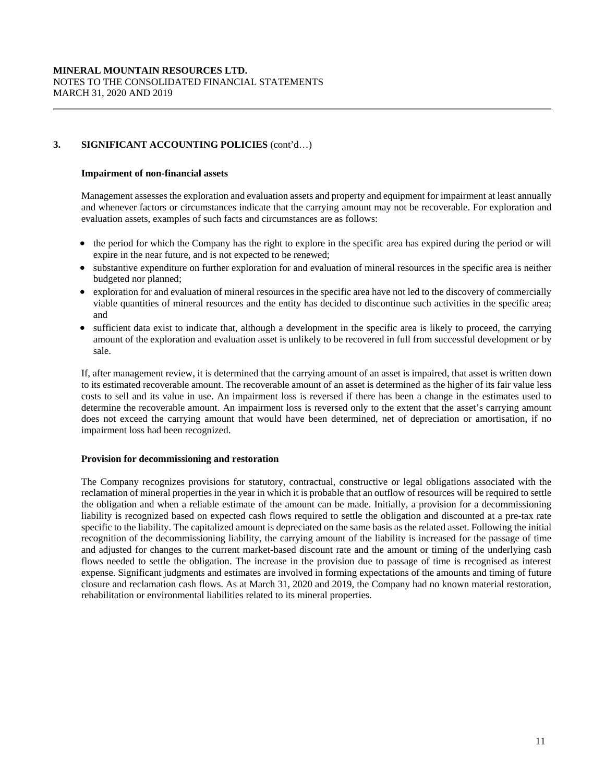## **Impairment of non-financial assets**

Management assesses the exploration and evaluation assets and property and equipment for impairment at least annually and whenever factors or circumstances indicate that the carrying amount may not be recoverable. For exploration and evaluation assets, examples of such facts and circumstances are as follows:

- the period for which the Company has the right to explore in the specific area has expired during the period or will expire in the near future, and is not expected to be renewed;
- substantive expenditure on further exploration for and evaluation of mineral resources in the specific area is neither budgeted nor planned;
- exploration for and evaluation of mineral resources in the specific area have not led to the discovery of commercially viable quantities of mineral resources and the entity has decided to discontinue such activities in the specific area; and
- sufficient data exist to indicate that, although a development in the specific area is likely to proceed, the carrying amount of the exploration and evaluation asset is unlikely to be recovered in full from successful development or by sale.

If, after management review, it is determined that the carrying amount of an asset is impaired, that asset is written down to its estimated recoverable amount. The recoverable amount of an asset is determined as the higher of its fair value less costs to sell and its value in use. An impairment loss is reversed if there has been a change in the estimates used to determine the recoverable amount. An impairment loss is reversed only to the extent that the asset's carrying amount does not exceed the carrying amount that would have been determined, net of depreciation or amortisation, if no impairment loss had been recognized.

## **Provision for decommissioning and restoration**

The Company recognizes provisions for statutory, contractual, constructive or legal obligations associated with the reclamation of mineral properties in the year in which it is probable that an outflow of resources will be required to settle the obligation and when a reliable estimate of the amount can be made. Initially, a provision for a decommissioning liability is recognized based on expected cash flows required to settle the obligation and discounted at a pre-tax rate specific to the liability. The capitalized amount is depreciated on the same basis as the related asset. Following the initial recognition of the decommissioning liability, the carrying amount of the liability is increased for the passage of time and adjusted for changes to the current market-based discount rate and the amount or timing of the underlying cash flows needed to settle the obligation. The increase in the provision due to passage of time is recognised as interest expense. Significant judgments and estimates are involved in forming expectations of the amounts and timing of future closure and reclamation cash flows. As at March 31, 2020 and 2019, the Company had no known material restoration, rehabilitation or environmental liabilities related to its mineral properties.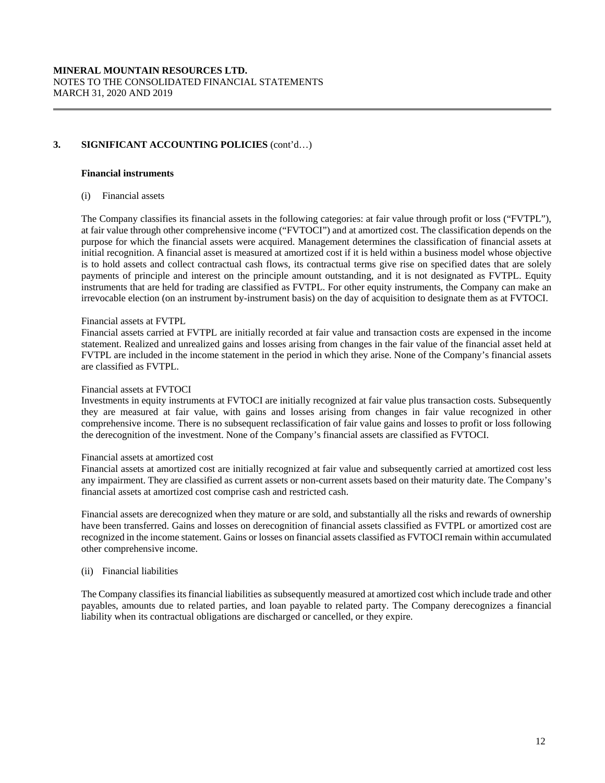## **Financial instruments**

(i) Financial assets

The Company classifies its financial assets in the following categories: at fair value through profit or loss ("FVTPL"), at fair value through other comprehensive income ("FVTOCI") and at amortized cost. The classification depends on the purpose for which the financial assets were acquired. Management determines the classification of financial assets at initial recognition. A financial asset is measured at amortized cost if it is held within a business model whose objective is to hold assets and collect contractual cash flows, its contractual terms give rise on specified dates that are solely payments of principle and interest on the principle amount outstanding, and it is not designated as FVTPL. Equity instruments that are held for trading are classified as FVTPL. For other equity instruments, the Company can make an irrevocable election (on an instrument by-instrument basis) on the day of acquisition to designate them as at FVTOCI.

## Financial assets at FVTPL

Financial assets carried at FVTPL are initially recorded at fair value and transaction costs are expensed in the income statement. Realized and unrealized gains and losses arising from changes in the fair value of the financial asset held at FVTPL are included in the income statement in the period in which they arise. None of the Company's financial assets are classified as FVTPL.

#### Financial assets at FVTOCI

Investments in equity instruments at FVTOCI are initially recognized at fair value plus transaction costs. Subsequently they are measured at fair value, with gains and losses arising from changes in fair value recognized in other comprehensive income. There is no subsequent reclassification of fair value gains and losses to profit or loss following the derecognition of the investment. None of the Company's financial assets are classified as FVTOCI.

## Financial assets at amortized cost

Financial assets at amortized cost are initially recognized at fair value and subsequently carried at amortized cost less any impairment. They are classified as current assets or non-current assets based on their maturity date. The Company's financial assets at amortized cost comprise cash and restricted cash.

Financial assets are derecognized when they mature or are sold, and substantially all the risks and rewards of ownership have been transferred. Gains and losses on derecognition of financial assets classified as FVTPL or amortized cost are recognized in the income statement. Gains or losses on financial assets classified as FVTOCI remain within accumulated other comprehensive income.

## (ii) Financial liabilities

The Company classifies its financial liabilities as subsequently measured at amortized cost which include trade and other payables, amounts due to related parties, and loan payable to related party. The Company derecognizes a financial liability when its contractual obligations are discharged or cancelled, or they expire.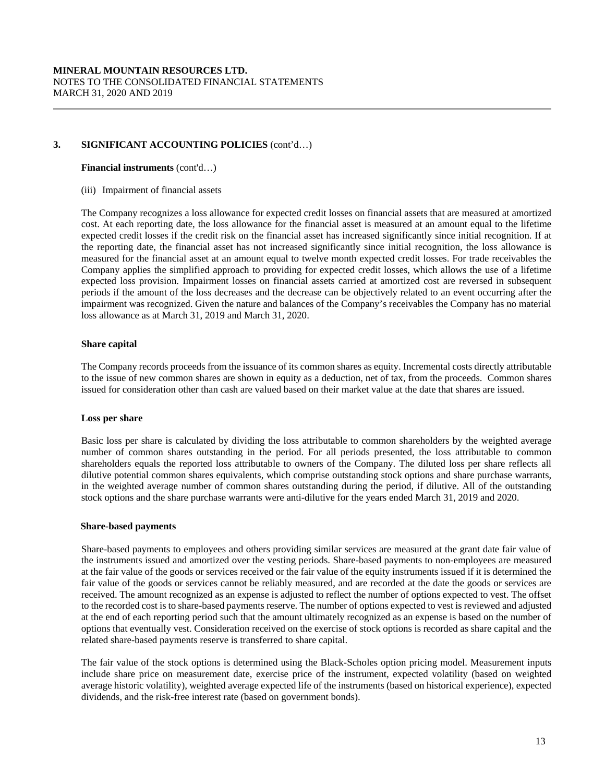#### **Financial instruments** (cont'd…)

(iii) Impairment of financial assets

The Company recognizes a loss allowance for expected credit losses on financial assets that are measured at amortized cost. At each reporting date, the loss allowance for the financial asset is measured at an amount equal to the lifetime expected credit losses if the credit risk on the financial asset has increased significantly since initial recognition. If at the reporting date, the financial asset has not increased significantly since initial recognition, the loss allowance is measured for the financial asset at an amount equal to twelve month expected credit losses. For trade receivables the Company applies the simplified approach to providing for expected credit losses, which allows the use of a lifetime expected loss provision. Impairment losses on financial assets carried at amortized cost are reversed in subsequent periods if the amount of the loss decreases and the decrease can be objectively related to an event occurring after the impairment was recognized. Given the nature and balances of the Company's receivables the Company has no material loss allowance as at March 31, 2019 and March 31, 2020.

## **Share capital**

The Company records proceeds from the issuance of its common shares as equity. Incremental costs directly attributable to the issue of new common shares are shown in equity as a deduction, net of tax, from the proceeds. Common shares issued for consideration other than cash are valued based on their market value at the date that shares are issued.

## **Loss per share**

Basic loss per share is calculated by dividing the loss attributable to common shareholders by the weighted average number of common shares outstanding in the period. For all periods presented, the loss attributable to common shareholders equals the reported loss attributable to owners of the Company. The diluted loss per share reflects all dilutive potential common shares equivalents, which comprise outstanding stock options and share purchase warrants, in the weighted average number of common shares outstanding during the period, if dilutive. All of the outstanding stock options and the share purchase warrants were anti-dilutive for the years ended March 31, 2019 and 2020.

## **Share-based payments**

Share-based payments to employees and others providing similar services are measured at the grant date fair value of the instruments issued and amortized over the vesting periods. Share-based payments to non-employees are measured at the fair value of the goods or services received or the fair value of the equity instruments issued if it is determined the fair value of the goods or services cannot be reliably measured, and are recorded at the date the goods or services are received. The amount recognized as an expense is adjusted to reflect the number of options expected to vest. The offset to the recorded cost is to share-based payments reserve. The number of options expected to vest is reviewed and adjusted at the end of each reporting period such that the amount ultimately recognized as an expense is based on the number of options that eventually vest. Consideration received on the exercise of stock options is recorded as share capital and the related share-based payments reserve is transferred to share capital.

The fair value of the stock options is determined using the Black-Scholes option pricing model. Measurement inputs include share price on measurement date, exercise price of the instrument, expected volatility (based on weighted average historic volatility), weighted average expected life of the instruments (based on historical experience), expected dividends, and the risk-free interest rate (based on government bonds).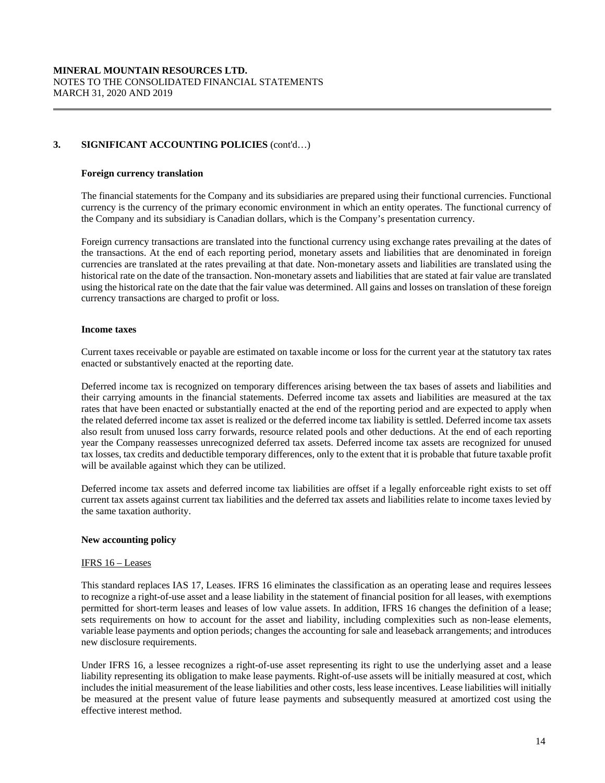## **Foreign currency translation**

The financial statements for the Company and its subsidiaries are prepared using their functional currencies. Functional currency is the currency of the primary economic environment in which an entity operates. The functional currency of the Company and its subsidiary is Canadian dollars, which is the Company's presentation currency.

Foreign currency transactions are translated into the functional currency using exchange rates prevailing at the dates of the transactions. At the end of each reporting period, monetary assets and liabilities that are denominated in foreign currencies are translated at the rates prevailing at that date. Non-monetary assets and liabilities are translated using the historical rate on the date of the transaction. Non-monetary assets and liabilities that are stated at fair value are translated using the historical rate on the date that the fair value was determined. All gains and losses on translation of these foreign currency transactions are charged to profit or loss.

#### **Income taxes**

Current taxes receivable or payable are estimated on taxable income or loss for the current year at the statutory tax rates enacted or substantively enacted at the reporting date.

Deferred income tax is recognized on temporary differences arising between the tax bases of assets and liabilities and their carrying amounts in the financial statements. Deferred income tax assets and liabilities are measured at the tax rates that have been enacted or substantially enacted at the end of the reporting period and are expected to apply when the related deferred income tax asset is realized or the deferred income tax liability is settled. Deferred income tax assets also result from unused loss carry forwards, resource related pools and other deductions. At the end of each reporting year the Company reassesses unrecognized deferred tax assets. Deferred income tax assets are recognized for unused tax losses, tax credits and deductible temporary differences, only to the extent that it is probable that future taxable profit will be available against which they can be utilized.

Deferred income tax assets and deferred income tax liabilities are offset if a legally enforceable right exists to set off current tax assets against current tax liabilities and the deferred tax assets and liabilities relate to income taxes levied by the same taxation authority.

## **New accounting policy**

#### IFRS 16 – Leases

This standard replaces IAS 17, Leases. IFRS 16 eliminates the classification as an operating lease and requires lessees to recognize a right-of-use asset and a lease liability in the statement of financial position for all leases, with exemptions permitted for short-term leases and leases of low value assets. In addition, IFRS 16 changes the definition of a lease; sets requirements on how to account for the asset and liability, including complexities such as non-lease elements, variable lease payments and option periods; changes the accounting for sale and leaseback arrangements; and introduces new disclosure requirements.

Under IFRS 16, a lessee recognizes a right-of-use asset representing its right to use the underlying asset and a lease liability representing its obligation to make lease payments. Right-of-use assets will be initially measured at cost, which includes the initial measurement of the lease liabilities and other costs, less lease incentives. Lease liabilities will initially be measured at the present value of future lease payments and subsequently measured at amortized cost using the effective interest method.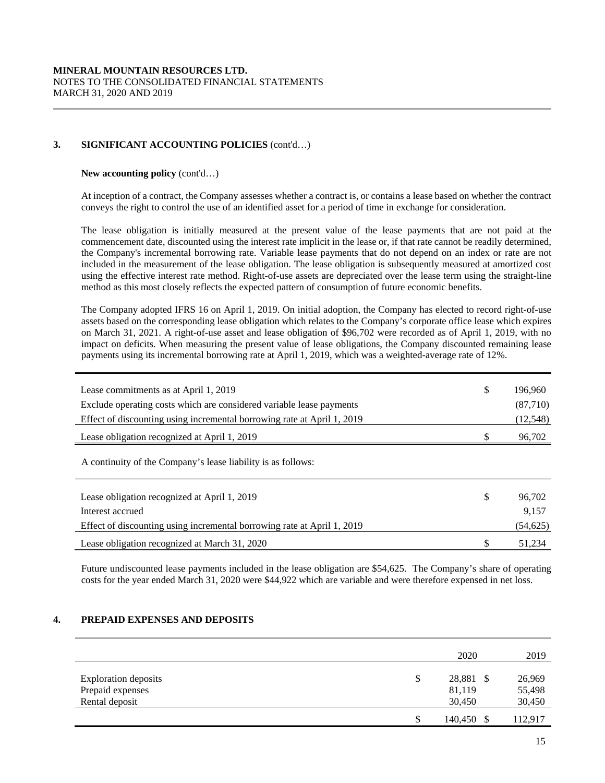## **New accounting policy** (cont'd…)

At inception of a contract, the Company assesses whether a contract is, or contains a lease based on whether the contract conveys the right to control the use of an identified asset for a period of time in exchange for consideration.

The lease obligation is initially measured at the present value of the lease payments that are not paid at the commencement date, discounted using the interest rate implicit in the lease or, if that rate cannot be readily determined, the Company's incremental borrowing rate. Variable lease payments that do not depend on an index or rate are not included in the measurement of the lease obligation. The lease obligation is subsequently measured at amortized cost using the effective interest rate method. Right-of-use assets are depreciated over the lease term using the straight-line method as this most closely reflects the expected pattern of consumption of future economic benefits.

The Company adopted IFRS 16 on April 1, 2019. On initial adoption, the Company has elected to record right-of-use assets based on the corresponding lease obligation which relates to the Company's corporate office lease which expires on March 31, 2021. A right-of-use asset and lease obligation of \$96,702 were recorded as of April 1, 2019, with no impact on deficits. When measuring the present value of lease obligations, the Company discounted remaining lease payments using its incremental borrowing rate at April 1, 2019, which was a weighted-average rate of 12%.

| Lease commitments as at April 1, 2019<br>Exclude operating costs which are considered variable lease payments<br>Effect of discounting using incremental borrowing rate at April 1, 2019 | \$<br>196,960<br>(87,710)<br>(12, 548) |
|------------------------------------------------------------------------------------------------------------------------------------------------------------------------------------------|----------------------------------------|
| Lease obligation recognized at April 1, 2019                                                                                                                                             | \$<br>96,702                           |
| A continuity of the Company's lease liability is as follows:                                                                                                                             |                                        |
| Lease obligation recognized at April 1, 2019                                                                                                                                             | \$<br>96,702                           |
| Interest accrued<br>Effect of discounting using incremental borrowing rate at April 1, 2019                                                                                              | 9,157<br>(54, 625)                     |
| Lease obligation recognized at March 31, 2020                                                                                                                                            | \$<br>51,234                           |

Future undiscounted lease payments included in the lease obligation are \$54,625. The Company's share of operating costs for the year ended March 31, 2020 were \$44,922 which are variable and were therefore expensed in net loss.

## **4. PREPAID EXPENSES AND DEPOSITS**

|                                                                   | 2020                                | 2019                       |
|-------------------------------------------------------------------|-------------------------------------|----------------------------|
| <b>Exploration</b> deposits<br>Prepaid expenses<br>Rental deposit | \$<br>28,881 \$<br>81,119<br>30,450 | 26,969<br>55,498<br>30,450 |
|                                                                   | 140,450 \$                          | 112.917                    |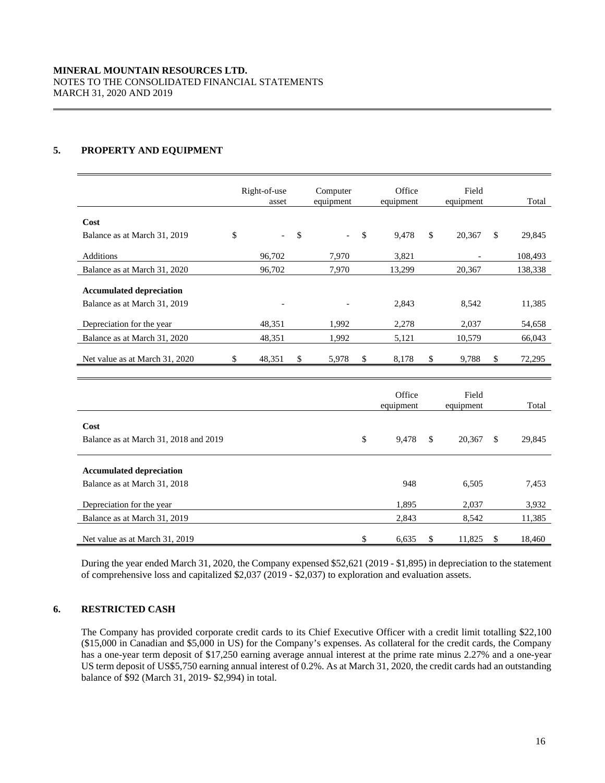## **5. PROPERTY AND EQUIPMENT**

|                                 | Right-of-use<br>asset    | Computer<br>equipment | Office<br>equipment | Field<br>equipment | Total        |
|---------------------------------|--------------------------|-----------------------|---------------------|--------------------|--------------|
| Cost                            |                          |                       |                     |                    |              |
| Balance as at March 31, 2019    | \$<br>$\sim$ $-$         | \$<br>$\sim$ $-$      | \$<br>9.478         | \$<br>20,367       | \$<br>29,845 |
| <b>Additions</b>                | 96,702                   | 7,970                 | 3.821               |                    | 108,493      |
| Balance as at March 31, 2020    | 96,702                   | 7.970                 | 13,299              | 20,367             | 138,338      |
| <b>Accumulated depreciation</b> |                          |                       |                     |                    |              |
| Balance as at March 31, 2019    | $\overline{\phantom{a}}$ |                       | 2,843               | 8,542              | 11,385       |
| Depreciation for the year       | 48,351                   | 1,992                 | 2,278               | 2,037              | 54,658       |
| Balance as at March 31, 2020    | 48,351                   | 1,992                 | 5,121               | 10,579             | 66,043       |
| Net value as at March 31, 2020  | \$<br>48,351             | \$<br>5,978           | \$<br>8,178         | \$<br>9,788        | \$<br>72,295 |
|                                 |                          |                       |                     |                    |              |

|                                       | Office<br>equipment | Field<br>equipment |     | Total  |
|---------------------------------------|---------------------|--------------------|-----|--------|
| Cost                                  |                     |                    |     |        |
| Balance as at March 31, 2018 and 2019 | \$<br>9,478         | \$<br>20,367       | \$. | 29,845 |
| <b>Accumulated depreciation</b>       |                     |                    |     |        |
| Balance as at March 31, 2018          | 948                 | 6,505              |     | 7,453  |
| Depreciation for the year             | 1,895               | 2,037              |     | 3,932  |
| Balance as at March 31, 2019          | 2,843               | 8,542              |     | 11,385 |
| Net value as at March 31, 2019        | \$<br>6,635         | \$<br>11,825       | \$  | 18,460 |

During the year ended March 31, 2020, the Company expensed \$52,621 (2019 - \$1,895) in depreciation to the statement of comprehensive loss and capitalized \$2,037 (2019 - \$2,037) to exploration and evaluation assets.

## **6. RESTRICTED CASH**

The Company has provided corporate credit cards to its Chief Executive Officer with a credit limit totalling \$22,100 (\$15,000 in Canadian and \$5,000 in US) for the Company's expenses. As collateral for the credit cards, the Company has a one-year term deposit of \$17,250 earning average annual interest at the prime rate minus 2.27% and a one-year US term deposit of US\$5,750 earning annual interest of 0.2%. As at March 31, 2020, the credit cards had an outstanding balance of \$92 (March 31, 2019- \$2,994) in total.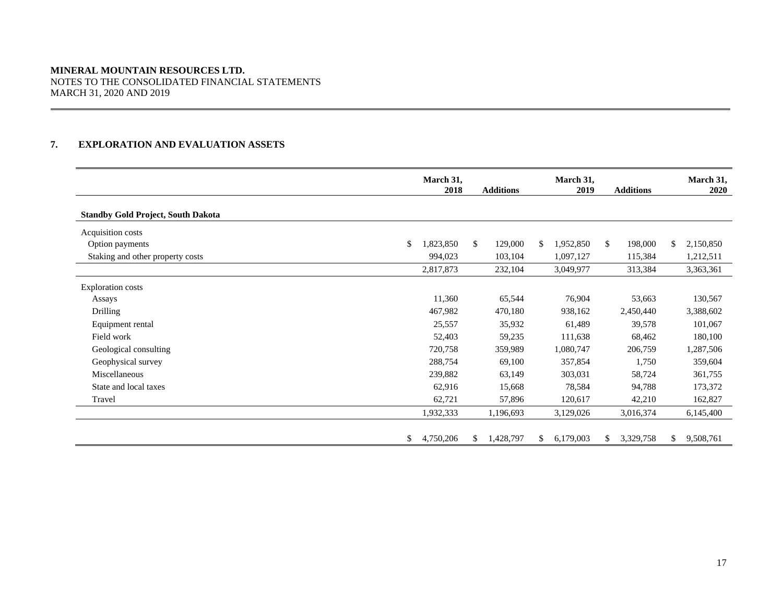## **MINERAL MOUNTAIN RESOURCES LTD.**  NOTES TO THE CONSOLIDATED FINANCIAL STATEMENTS MARCH 31, 2020 AND 2019

## **7. EXPLORATION AND EVALUATION ASSETS**

|                                           | March 31,<br>2018 | <b>Additions</b> |     | March 31,<br>2019 |               | <b>Additions</b> |     | March 31,<br>2020 |
|-------------------------------------------|-------------------|------------------|-----|-------------------|---------------|------------------|-----|-------------------|
| <b>Standby Gold Project, South Dakota</b> |                   |                  |     |                   |               |                  |     |                   |
| Acquisition costs                         |                   |                  |     |                   |               |                  |     |                   |
| \$<br>Option payments                     | 1,823,850         | \$<br>129,000    | \$. | 1,952,850         | <sup>\$</sup> | 198,000          | \$. | 2,150,850         |
| Staking and other property costs          | 994,023           | 103,104          |     | 1,097,127         |               | 115,384          |     | 1,212,511         |
|                                           | 2,817,873         | 232,104          |     | 3,049,977         |               | 313,384          |     | 3,363,361         |
| <b>Exploration costs</b>                  |                   |                  |     |                   |               |                  |     |                   |
| Assays                                    | 11,360            | 65,544           |     | 76,904            |               | 53,663           |     | 130,567           |
| Drilling                                  | 467,982           | 470,180          |     | 938,162           |               | 2,450,440        |     | 3,388,602         |
| Equipment rental                          | 25,557            | 35,932           |     | 61,489            |               | 39,578           |     | 101,067           |
| Field work                                | 52,403            | 59,235           |     | 111,638           |               | 68,462           |     | 180,100           |
| Geological consulting                     | 720,758           | 359,989          |     | 1,080,747         |               | 206,759          |     | 1,287,506         |
| Geophysical survey                        | 288,754           | 69,100           |     | 357,854           |               | 1,750            |     | 359,604           |
| Miscellaneous                             | 239,882           | 63,149           |     | 303,031           |               | 58,724           |     | 361,755           |
| State and local taxes                     | 62,916            | 15,668           |     | 78,584            |               | 94,788           |     | 173,372           |
| Travel                                    | 62,721            | 57,896           |     | 120,617           |               | 42,210           |     | 162,827           |
|                                           | 1,932,333         | 1,196,693        |     | 3,129,026         |               | 3,016,374        |     | 6,145,400         |
| \$                                        | 4,750,206         | \$<br>1,428,797  | \$  | 6,179,003         | \$            | 3,329,758        | \$  | 9,508,761         |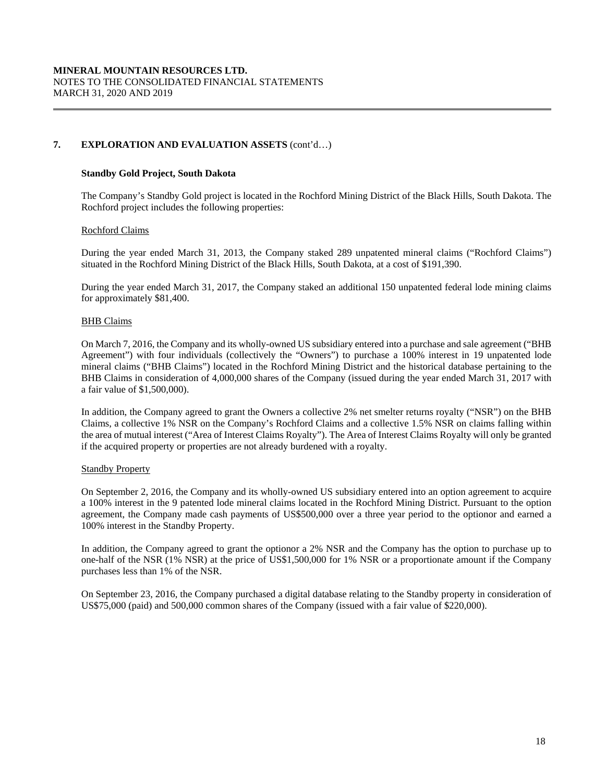## **7. EXPLORATION AND EVALUATION ASSETS** (cont'd…)

## **Standby Gold Project, South Dakota**

The Company's Standby Gold project is located in the Rochford Mining District of the Black Hills, South Dakota. The Rochford project includes the following properties:

## Rochford Claims

During the year ended March 31, 2013, the Company staked 289 unpatented mineral claims ("Rochford Claims") situated in the Rochford Mining District of the Black Hills, South Dakota, at a cost of \$191,390.

During the year ended March 31, 2017, the Company staked an additional 150 unpatented federal lode mining claims for approximately \$81,400.

## BHB Claims

On March 7, 2016, the Company and its wholly-owned US subsidiary entered into a purchase and sale agreement ("BHB Agreement") with four individuals (collectively the "Owners") to purchase a 100% interest in 19 unpatented lode mineral claims ("BHB Claims") located in the Rochford Mining District and the historical database pertaining to the BHB Claims in consideration of 4,000,000 shares of the Company (issued during the year ended March 31, 2017 with a fair value of \$1,500,000).

In addition, the Company agreed to grant the Owners a collective 2% net smelter returns royalty ("NSR") on the BHB Claims, a collective 1% NSR on the Company's Rochford Claims and a collective 1.5% NSR on claims falling within the area of mutual interest ("Area of Interest Claims Royalty"). The Area of Interest Claims Royalty will only be granted if the acquired property or properties are not already burdened with a royalty.

## Standby Property

On September 2, 2016, the Company and its wholly-owned US subsidiary entered into an option agreement to acquire a 100% interest in the 9 patented lode mineral claims located in the Rochford Mining District. Pursuant to the option agreement, the Company made cash payments of US\$500,000 over a three year period to the optionor and earned a 100% interest in the Standby Property.

In addition, the Company agreed to grant the optionor a 2% NSR and the Company has the option to purchase up to one-half of the NSR (1% NSR) at the price of US\$1,500,000 for 1% NSR or a proportionate amount if the Company purchases less than 1% of the NSR.

On September 23, 2016, the Company purchased a digital database relating to the Standby property in consideration of US\$75,000 (paid) and 500,000 common shares of the Company (issued with a fair value of \$220,000).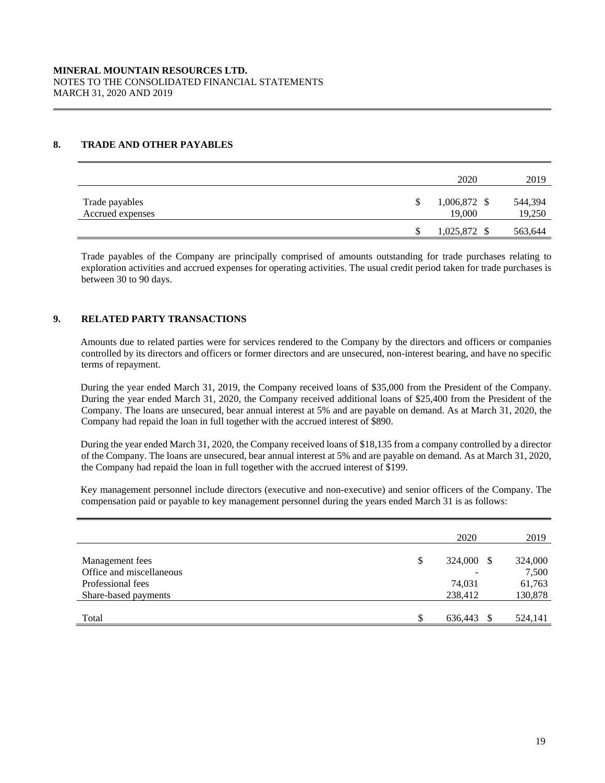## **8. TRADE AND OTHER PAYABLES**

|                                    | 2020                   | 2019              |
|------------------------------------|------------------------|-------------------|
| Trade payables<br>Accrued expenses | 1,006,872 \$<br>19,000 | 544,394<br>19,250 |
|                                    | 1,025,872 \$           | 563,644           |

Trade payables of the Company are principally comprised of amounts outstanding for trade purchases relating to exploration activities and accrued expenses for operating activities. The usual credit period taken for trade purchases is between 30 to 90 days.

## **9. RELATED PARTY TRANSACTIONS**

Amounts due to related parties were for services rendered to the Company by the directors and officers or companies controlled by its directors and officers or former directors and are unsecured, non-interest bearing, and have no specific terms of repayment.

During the year ended March 31, 2019, the Company received loans of \$35,000 from the President of the Company. During the year ended March 31, 2020, the Company received additional loans of \$25,400 from the President of the Company. The loans are unsecured, bear annual interest at 5% and are payable on demand. As at March 31, 2020, the Company had repaid the loan in full together with the accrued interest of \$890.

During the year ended March 31, 2020, the Company received loans of \$18,135 from a company controlled by a director of the Company. The loans are unsecured, bear annual interest at 5% and are payable on demand. As at March 31, 2020, the Company had repaid the loan in full together with the accrued interest of \$199.

Key management personnel include directors (executive and non-executive) and senior officers of the Company. The compensation paid or payable to key management personnel during the years ended March 31 is as follows:

|                          | 2020             | 2019    |
|--------------------------|------------------|---------|
| Management fees          | \$<br>324,000 \$ | 324,000 |
| Office and miscellaneous |                  | 7,500   |
| Professional fees        | 74,031           | 61,763  |
| Share-based payments     | 238,412          | 130,878 |
|                          |                  |         |
| Total                    | \$<br>636,443    | 524,141 |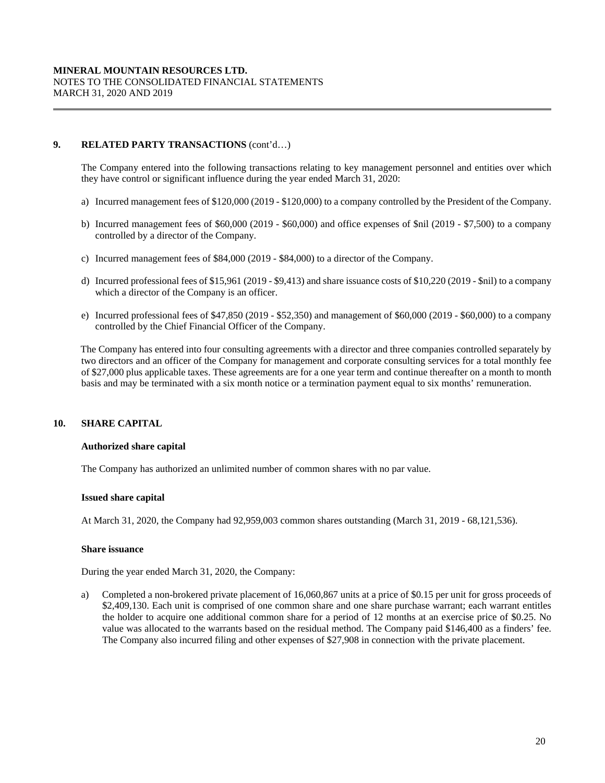## **9. RELATED PARTY TRANSACTIONS** (cont'd…)

The Company entered into the following transactions relating to key management personnel and entities over which they have control or significant influence during the year ended March 31, 2020:

- a) Incurred management fees of \$120,000 (2019 \$120,000) to a company controlled by the President of the Company.
- b) Incurred management fees of \$60,000 (2019 \$60,000) and office expenses of \$nil (2019 \$7,500) to a company controlled by a director of the Company.
- c) Incurred management fees of \$84,000 (2019 \$84,000) to a director of the Company.
- d) Incurred professional fees of \$15,961 (2019 \$9,413) and share issuance costs of \$10,220 (2019 \$nil) to a company which a director of the Company is an officer.
- e) Incurred professional fees of \$47,850 (2019 \$52,350) and management of \$60,000 (2019 \$60,000) to a company controlled by the Chief Financial Officer of the Company.

The Company has entered into four consulting agreements with a director and three companies controlled separately by two directors and an officer of the Company for management and corporate consulting services for a total monthly fee of \$27,000 plus applicable taxes. These agreements are for a one year term and continue thereafter on a month to month basis and may be terminated with a six month notice or a termination payment equal to six months' remuneration.

## **10. SHARE CAPITAL**

## **Authorized share capital**

The Company has authorized an unlimited number of common shares with no par value.

## **Issued share capital**

At March 31, 2020, the Company had 92,959,003 common shares outstanding (March 31, 2019 - 68,121,536).

## **Share issuance**

During the year ended March 31, 2020, the Company:

a) Completed a non-brokered private placement of 16,060,867 units at a price of \$0.15 per unit for gross proceeds of \$2,409,130. Each unit is comprised of one common share and one share purchase warrant; each warrant entitles the holder to acquire one additional common share for a period of 12 months at an exercise price of \$0.25. No value was allocated to the warrants based on the residual method. The Company paid \$146,400 as a finders' fee. The Company also incurred filing and other expenses of \$27,908 in connection with the private placement.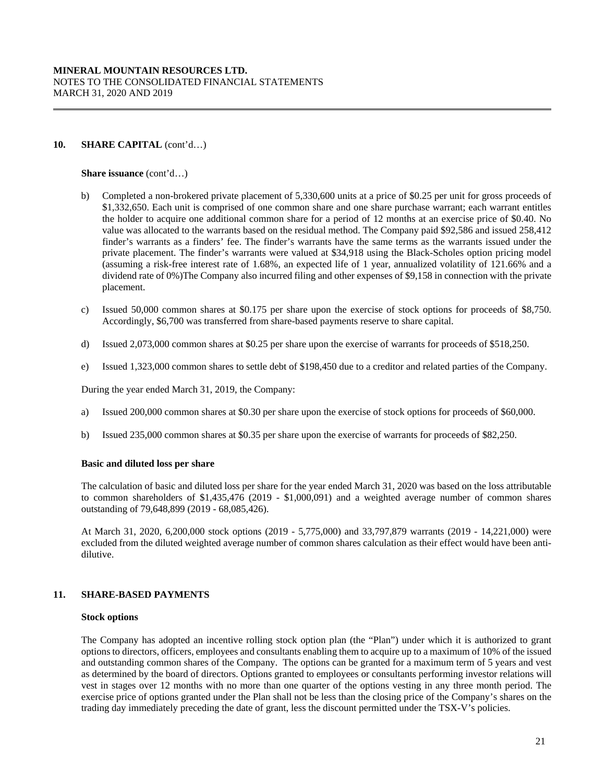## 10. **SHARE CAPITAL** (cont'd...)

**Share issuance** (cont'd…)

- b) Completed a non-brokered private placement of 5,330,600 units at a price of \$0.25 per unit for gross proceeds of \$1,332,650. Each unit is comprised of one common share and one share purchase warrant; each warrant entitles the holder to acquire one additional common share for a period of 12 months at an exercise price of \$0.40. No value was allocated to the warrants based on the residual method. The Company paid \$92,586 and issued 258,412 finder's warrants as a finders' fee. The finder's warrants have the same terms as the warrants issued under the private placement. The finder's warrants were valued at \$34,918 using the Black-Scholes option pricing model (assuming a risk-free interest rate of 1.68%, an expected life of 1 year, annualized volatility of 121.66% and a dividend rate of 0%)The Company also incurred filing and other expenses of \$9,158 in connection with the private placement.
- c) Issued 50,000 common shares at \$0.175 per share upon the exercise of stock options for proceeds of \$8,750. Accordingly, \$6,700 was transferred from share-based payments reserve to share capital.
- d) Issued 2,073,000 common shares at \$0.25 per share upon the exercise of warrants for proceeds of \$518,250.
- e) Issued 1,323,000 common shares to settle debt of \$198,450 due to a creditor and related parties of the Company.

During the year ended March 31, 2019, the Company:

- a) Issued 200,000 common shares at \$0.30 per share upon the exercise of stock options for proceeds of \$60,000.
- b) Issued 235,000 common shares at \$0.35 per share upon the exercise of warrants for proceeds of \$82,250.

#### **Basic and diluted loss per share**

The calculation of basic and diluted loss per share for the year ended March 31, 2020 was based on the loss attributable to common shareholders of \$1,435,476 (2019 - \$1,000,091) and a weighted average number of common shares outstanding of 79,648,899 (2019 - 68,085,426).

At March 31, 2020, 6,200,000 stock options (2019 - 5,775,000) and 33,797,879 warrants (2019 - 14,221,000) were excluded from the diluted weighted average number of common shares calculation as their effect would have been antidilutive.

## **11. SHARE-BASED PAYMENTS**

#### **Stock options**

The Company has adopted an incentive rolling stock option plan (the "Plan") under which it is authorized to grant options to directors, officers, employees and consultants enabling them to acquire up to a maximum of 10% of the issued and outstanding common shares of the Company. The options can be granted for a maximum term of 5 years and vest as determined by the board of directors. Options granted to employees or consultants performing investor relations will vest in stages over 12 months with no more than one quarter of the options vesting in any three month period. The exercise price of options granted under the Plan shall not be less than the closing price of the Company's shares on the trading day immediately preceding the date of grant, less the discount permitted under the TSX-V's policies.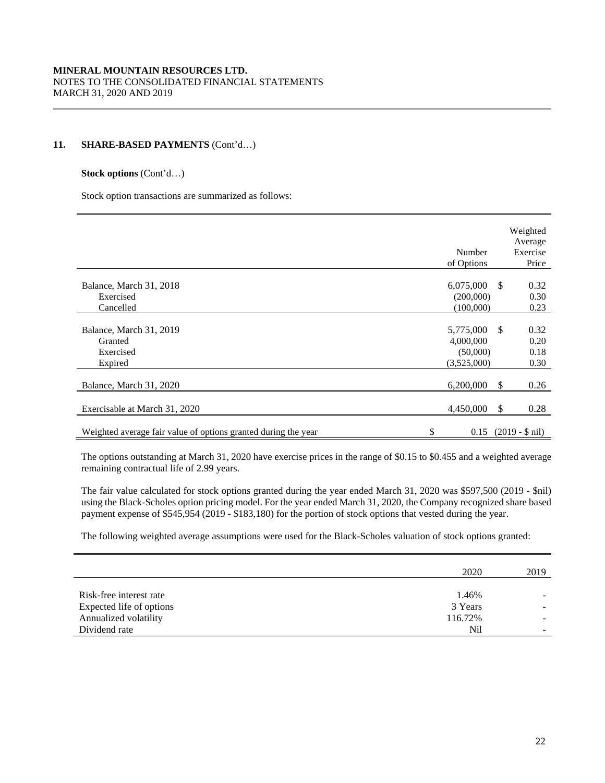## **11. SHARE-BASED PAYMENTS** (Cont'd…)

#### **Stock options** (Cont'd…)

Stock option transactions are summarized as follows:

|                                                                | Number<br>of Options                              |               | Weighted<br>Average<br>Exercise<br>Price |
|----------------------------------------------------------------|---------------------------------------------------|---------------|------------------------------------------|
| Balance, March 31, 2018<br>Exercised<br>Cancelled              | 6,075,000<br>(200,000)<br>(100,000)               | -S            | 0.32<br>0.30<br>0.23                     |
| Balance, March 31, 2019<br>Granted<br>Exercised<br>Expired     | 5,775,000<br>4,000,000<br>(50,000)<br>(3,525,000) | $\mathcal{S}$ | 0.32<br>0.20<br>0.18<br>0.30             |
| Balance, March 31, 2020                                        | 6,200,000                                         | -S            | 0.26                                     |
| Exercisable at March 31, 2020                                  | 4,450,000                                         | \$            | 0.28                                     |
| Weighted average fair value of options granted during the year | \$                                                |               | $0.15$ (2019 - \$ nil)                   |

 The options outstanding at March 31, 2020 have exercise prices in the range of \$0.15 to \$0.455 and a weighted average remaining contractual life of 2.99 years.

The fair value calculated for stock options granted during the year ended March 31, 2020 was \$597,500 (2019 - \$nil) using the Black-Scholes option pricing model. For the year ended March 31, 2020, the Company recognized share based payment expense of \$545,954 (2019 - \$183,180) for the portion of stock options that vested during the year.

The following weighted average assumptions were used for the Black-Scholes valuation of stock options granted:

|                          | 2020    | 2019                     |
|--------------------------|---------|--------------------------|
|                          |         |                          |
| Risk-free interest rate  | 1.46%   |                          |
| Expected life of options | 3 Years | $\overline{\phantom{0}}$ |
| Annualized volatility    | 116.72% | -                        |
| Dividend rate            | Nil     | -                        |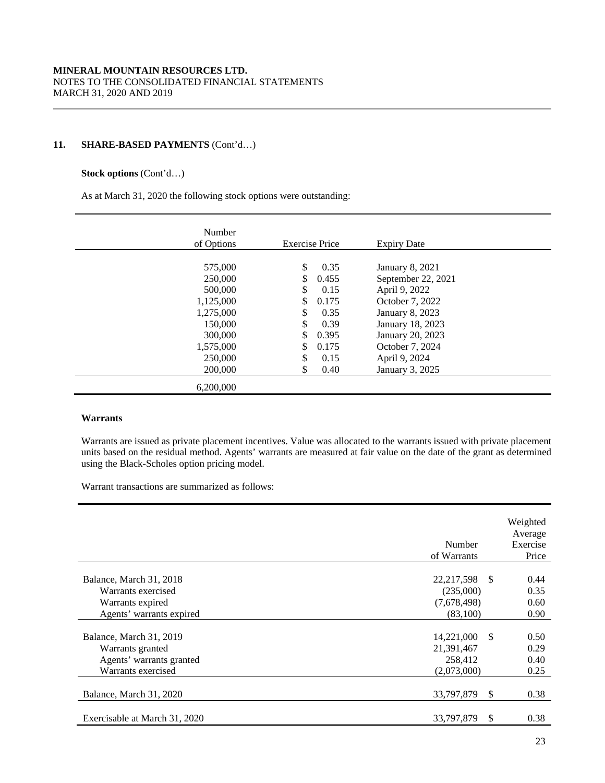## **11. SHARE-BASED PAYMENTS** (Cont'd…)

## **Stock options** (Cont'd…)

As at March 31, 2020 the following stock options were outstanding:

| Number<br>of Options                                                                                             | <b>Exercise Price</b>                                                                                                                  | <b>Expiry Date</b>                                                                                                                                                                                        |  |
|------------------------------------------------------------------------------------------------------------------|----------------------------------------------------------------------------------------------------------------------------------------|-----------------------------------------------------------------------------------------------------------------------------------------------------------------------------------------------------------|--|
| 575,000<br>250,000<br>500,000<br>1,125,000<br>1,275,000<br>150,000<br>300,000<br>1,575,000<br>250,000<br>200,000 | \$<br>0.35<br>0.455<br>\$<br>0.15<br>\$<br>0.175<br>\$<br>0.35<br>\$<br>0.39<br>\$<br>0.395<br>\$<br>0.175<br>\$<br>0.15<br>\$<br>0.40 | <b>January 8, 2021</b><br>September 22, 2021<br>April 9, 2022<br>October 7, 2022<br><b>January 8, 2023</b><br>January 18, 2023<br>January 20, 2023<br>October 7, 2024<br>April 9, 2024<br>January 3, 2025 |  |
| 6.200,000                                                                                                        |                                                                                                                                        |                                                                                                                                                                                                           |  |

## **Warrants**

Warrants are issued as private placement incentives. Value was allocated to the warrants issued with private placement units based on the residual method. Agents' warrants are measured at fair value on the date of the grant as determined using the Black-Scholes option pricing model.

Warrant transactions are summarized as follows:

|                                                                                               | Number<br>of Warrants                                 | Weighted<br>Average<br>Exercise<br>Price |
|-----------------------------------------------------------------------------------------------|-------------------------------------------------------|------------------------------------------|
| Balance, March 31, 2018                                                                       | 22,217,598 \$                                         | 0.44                                     |
| Warrants exercised<br>Warrants expired                                                        | (235,000)<br>(7,678,498)                              | 0.35<br>0.60                             |
| Agents' warrants expired                                                                      | (83,100)                                              | 0.90                                     |
| Balance, March 31, 2019<br>Warrants granted<br>Agents' warrants granted<br>Warrants exercised | 14,221,000 \$<br>21,391,467<br>258,412<br>(2,073,000) | 0.50<br>0.29<br>0.40<br>0.25             |
| Balance, March 31, 2020                                                                       | 33,797,879<br>-S                                      | 0.38                                     |
| Exercisable at March 31, 2020                                                                 | 33,797,879<br>-S                                      | 0.38                                     |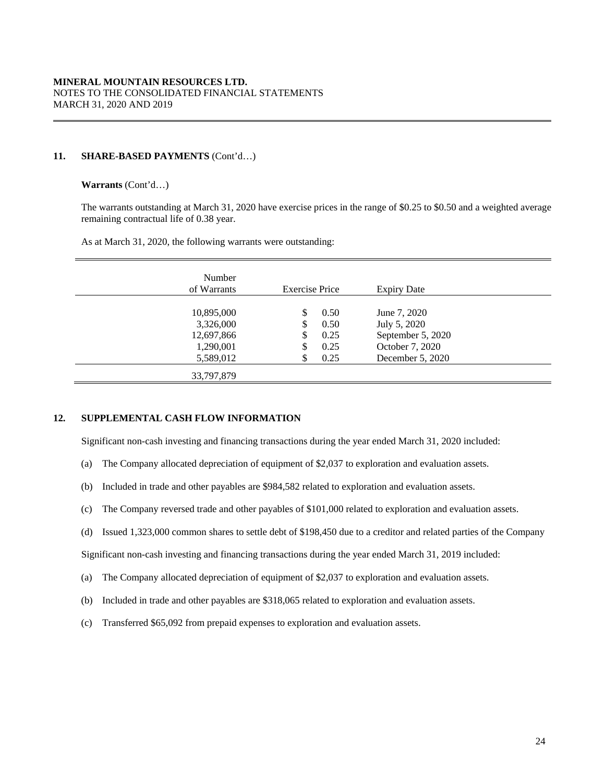## **11. SHARE-BASED PAYMENTS** (Cont'd…)

## **Warrants** (Cont'd…)

The warrants outstanding at March 31, 2020 have exercise prices in the range of \$0.25 to \$0.50 and a weighted average remaining contractual life of 0.38 year.

As at March 31, 2020, the following warrants were outstanding:

| Number<br>of Warrants   | <b>Exercise Price</b> |              | <b>Expiry Date</b>                  |  |
|-------------------------|-----------------------|--------------|-------------------------------------|--|
| 10,895,000<br>3,326,000 | \$<br>\$              | 0.50<br>0.50 | June 7, 2020<br>July 5, 2020        |  |
| 12,697,866              | \$                    | 0.25         | September 5, 2020                   |  |
| 1,290,001<br>5,589,012  | \$                    | 0.25<br>0.25 | October 7, 2020<br>December 5, 2020 |  |
| 33,797,879              |                       |              |                                     |  |

## **12. SUPPLEMENTAL CASH FLOW INFORMATION**

Significant non-cash investing and financing transactions during the year ended March 31, 2020 included:

- (a) The Company allocated depreciation of equipment of \$2,037 to exploration and evaluation assets.
- (b) Included in trade and other payables are \$984,582 related to exploration and evaluation assets.
- (c) The Company reversed trade and other payables of \$101,000 related to exploration and evaluation assets.
- (d) Issued 1,323,000 common shares to settle debt of \$198,450 due to a creditor and related parties of the Company

Significant non-cash investing and financing transactions during the year ended March 31, 2019 included:

- (a) The Company allocated depreciation of equipment of \$2,037 to exploration and evaluation assets.
- (b) Included in trade and other payables are \$318,065 related to exploration and evaluation assets.
- (c) Transferred \$65,092 from prepaid expenses to exploration and evaluation assets.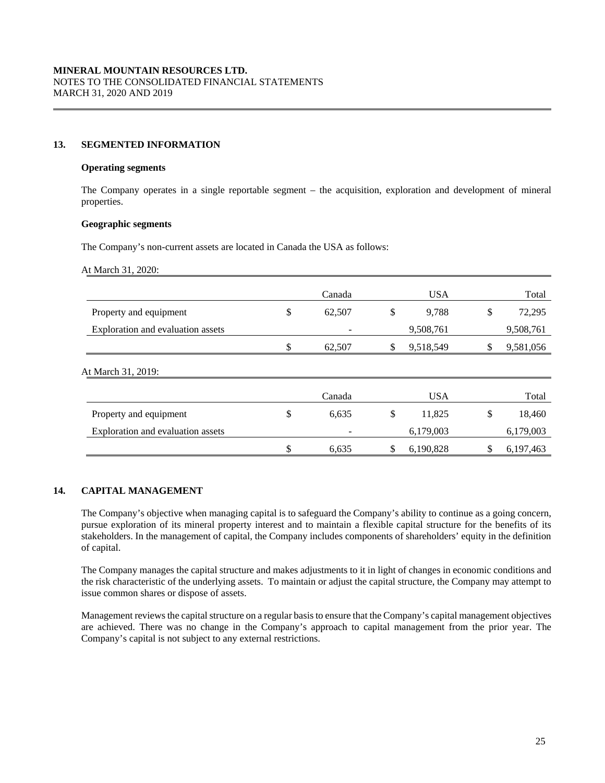## **13. SEGMENTED INFORMATION**

#### **Operating segments**

The Company operates in a single reportable segment – the acquisition, exploration and development of mineral properties.

### **Geographic segments**

The Company's non-current assets are located in Canada the USA as follows:

At March 31, 2020:

|                                   | Canada       | <b>USA</b>      | Total           |
|-----------------------------------|--------------|-----------------|-----------------|
| Property and equipment            | \$<br>62,507 | \$<br>9,788     | \$<br>72,295    |
| Exploration and evaluation assets |              | 9,508,761       | 9,508,761       |
|                                   | \$<br>62,507 | \$<br>9,518,549 | \$<br>9,581,056 |
| At March 31, 2019:                |              |                 |                 |
|                                   | Canada       | <b>USA</b>      | Total           |
| Property and equipment            | \$<br>6,635  | \$<br>11,825    | \$<br>18,460    |
| Exploration and evaluation assets |              | 6,179,003       | 6,179,003       |
|                                   | \$<br>6,635  | \$<br>6,190,828 | 6,197,463       |

## **14. CAPITAL MANAGEMENT**

The Company's objective when managing capital is to safeguard the Company's ability to continue as a going concern, pursue exploration of its mineral property interest and to maintain a flexible capital structure for the benefits of its stakeholders. In the management of capital, the Company includes components of shareholders' equity in the definition of capital.

The Company manages the capital structure and makes adjustments to it in light of changes in economic conditions and the risk characteristic of the underlying assets. To maintain or adjust the capital structure, the Company may attempt to issue common shares or dispose of assets.

Management reviews the capital structure on a regular basis to ensure that the Company's capital management objectives are achieved. There was no change in the Company's approach to capital management from the prior year. The Company's capital is not subject to any external restrictions.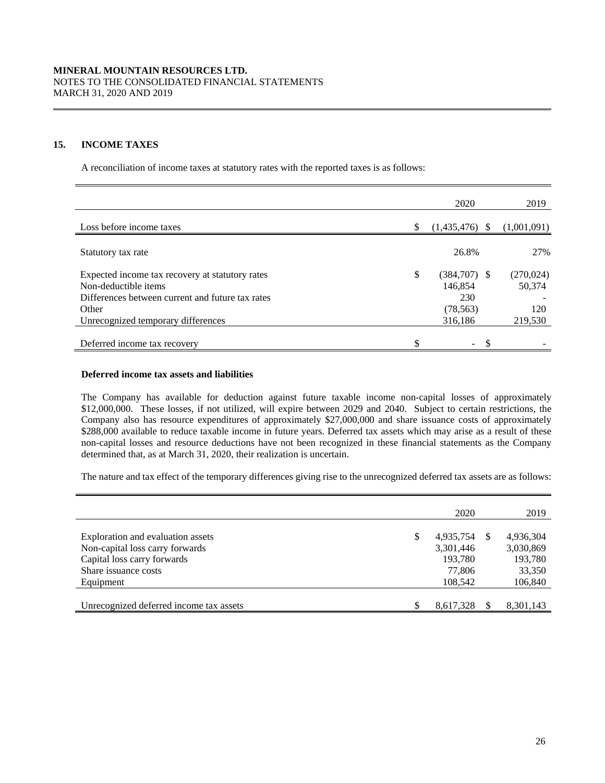## **15. INCOME TAXES**

A reconciliation of income taxes at statutory rates with the reported taxes is as follows:

|                                                                                                                                      | 2020                                                | 2019                        |
|--------------------------------------------------------------------------------------------------------------------------------------|-----------------------------------------------------|-----------------------------|
| Loss before income taxes                                                                                                             | (1,435,476)                                         | (1,001,091)                 |
| Statutory tax rate                                                                                                                   | 26.8%                                               | 27%                         |
| Expected income tax recovery at statutory rates<br>Non-deductible items<br>Differences between current and future tax rates<br>Other | \$<br>$(384,707)$ \$<br>146.854<br>230<br>(78, 563) | (270, 024)<br>50.374<br>120 |
| Unrecognized temporary differences                                                                                                   | 316,186                                             | 219,530                     |
| Deferred income tax recovery                                                                                                         | $\sim$                                              |                             |

## **Deferred income tax assets and liabilities**

The Company has available for deduction against future taxable income non-capital losses of approximately \$12,000,000. These losses, if not utilized, will expire between 2029 and 2040. Subject to certain restrictions, the Company also has resource expenditures of approximately \$27,000,000 and share issuance costs of approximately \$288,000 available to reduce taxable income in future years. Deferred tax assets which may arise as a result of these non-capital losses and resource deductions have not been recognized in these financial statements as the Company determined that, as at March 31, 2020, their realization is uncertain.

The nature and tax effect of the temporary differences giving rise to the unrecognized deferred tax assets are as follows:

|                                         |   | 2020      |    | 2019      |
|-----------------------------------------|---|-----------|----|-----------|
|                                         |   |           |    |           |
| Exploration and evaluation assets       | S | 4,935,754 | -S | 4,936,304 |
| Non-capital loss carry forwards         |   | 3,301,446 |    | 3,030,869 |
| Capital loss carry forwards             |   | 193,780   |    | 193,780   |
| Share issuance costs                    |   | 77,806    |    | 33,350    |
| Equipment                               |   | 108,542   |    | 106,840   |
|                                         |   |           |    |           |
| Unrecognized deferred income tax assets |   | 8.617.328 |    | 8,301,143 |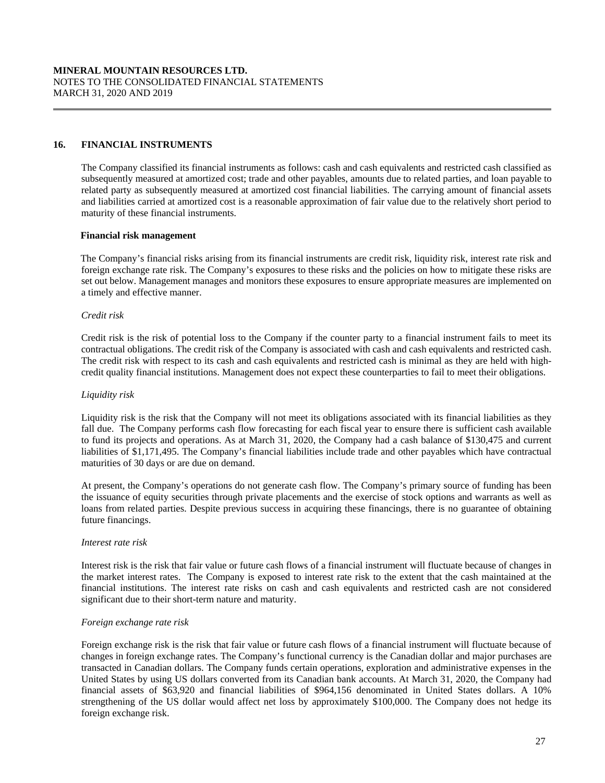## **16. FINANCIAL INSTRUMENTS**

The Company classified its financial instruments as follows: cash and cash equivalents and restricted cash classified as subsequently measured at amortized cost; trade and other payables, amounts due to related parties, and loan payable to related party as subsequently measured at amortized cost financial liabilities. The carrying amount of financial assets and liabilities carried at amortized cost is a reasonable approximation of fair value due to the relatively short period to maturity of these financial instruments.

#### **Financial risk management**

The Company's financial risks arising from its financial instruments are credit risk, liquidity risk, interest rate risk and foreign exchange rate risk. The Company's exposures to these risks and the policies on how to mitigate these risks are set out below. Management manages and monitors these exposures to ensure appropriate measures are implemented on a timely and effective manner.

## *Credit risk*

Credit risk is the risk of potential loss to the Company if the counter party to a financial instrument fails to meet its contractual obligations. The credit risk of the Company is associated with cash and cash equivalents and restricted cash. The credit risk with respect to its cash and cash equivalents and restricted cash is minimal as they are held with highcredit quality financial institutions. Management does not expect these counterparties to fail to meet their obligations.

#### *Liquidity risk*

Liquidity risk is the risk that the Company will not meet its obligations associated with its financial liabilities as they fall due. The Company performs cash flow forecasting for each fiscal year to ensure there is sufficient cash available to fund its projects and operations. As at March 31, 2020, the Company had a cash balance of \$130,475 and current liabilities of \$1,171,495. The Company's financial liabilities include trade and other payables which have contractual maturities of 30 days or are due on demand.

At present, the Company's operations do not generate cash flow. The Company's primary source of funding has been the issuance of equity securities through private placements and the exercise of stock options and warrants as well as loans from related parties. Despite previous success in acquiring these financings, there is no guarantee of obtaining future financings.

#### *Interest rate risk*

Interest risk is the risk that fair value or future cash flows of a financial instrument will fluctuate because of changes in the market interest rates. The Company is exposed to interest rate risk to the extent that the cash maintained at the financial institutions. The interest rate risks on cash and cash equivalents and restricted cash are not considered significant due to their short-term nature and maturity.

#### *Foreign exchange rate risk*

Foreign exchange risk is the risk that fair value or future cash flows of a financial instrument will fluctuate because of changes in foreign exchange rates. The Company's functional currency is the Canadian dollar and major purchases are transacted in Canadian dollars. The Company funds certain operations, exploration and administrative expenses in the United States by using US dollars converted from its Canadian bank accounts. At March 31, 2020, the Company had financial assets of \$63,920 and financial liabilities of \$964,156 denominated in United States dollars. A 10% strengthening of the US dollar would affect net loss by approximately \$100,000. The Company does not hedge its foreign exchange risk.